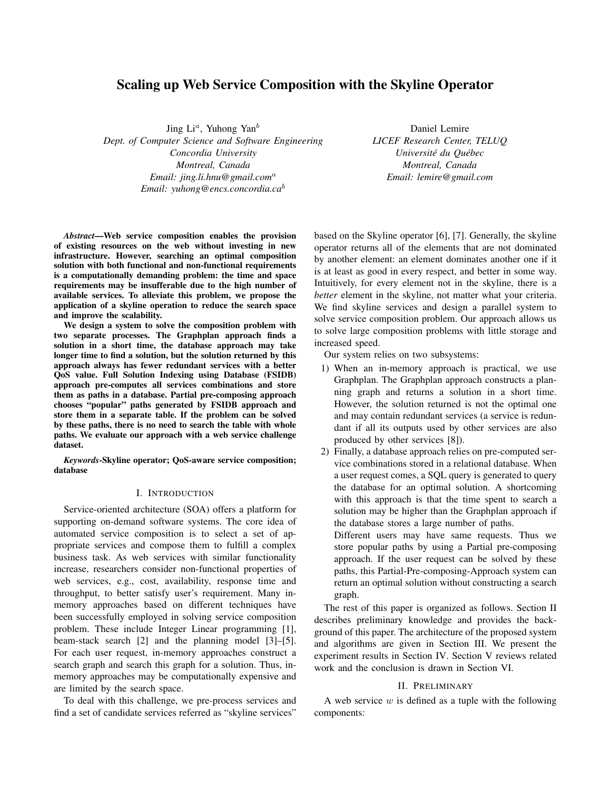# Scaling up Web Service Composition with the Skyline Operator

Jing Li<sup>a</sup>, Yuhong Yan<sup>b</sup> *Dept. of Computer Science and Software Engineering Concordia University Montreal, Canada Email: jing.li.hnu@gmail.com*<sup>a</sup> *Email: yuhong@encs.concordia.ca*<sup>b</sup>

Daniel Lemire *LICEF Research Center, TELUQ*  $University$  *Université du Québec Montreal, Canada Email: lemire@gmail.com*

*Abstract*—Web service composition enables the provision of existing resources on the web without investing in new infrastructure. However, searching an optimal composition solution with both functional and non-functional requirements is a computationally demanding problem: the time and space requirements may be insufferable due to the high number of available services. To alleviate this problem, we propose the application of a skyline operation to reduce the search space and improve the scalability.

We design a system to solve the composition problem with two separate processes. The Graphplan approach finds a solution in a short time, the database approach may take longer time to find a solution, but the solution returned by this approach always has fewer redundant services with a better QoS value. Full Solution Indexing using Database (FSIDB) approach pre-computes all services combinations and store them as paths in a database. Partial pre-composing approach chooses "popular" paths generated by FSIDB approach and store them in a separate table. If the problem can be solved by these paths, there is no need to search the table with whole paths. We evaluate our approach with a web service challenge dataset.

*Keywords*-Skyline operator; QoS-aware service composition; database

### I. INTRODUCTION

Service-oriented architecture (SOA) offers a platform for supporting on-demand software systems. The core idea of automated service composition is to select a set of appropriate services and compose them to fulfill a complex business task. As web services with similar functionality increase, researchers consider non-functional properties of web services, e.g., cost, availability, response time and throughput, to better satisfy user's requirement. Many inmemory approaches based on different techniques have been successfully employed in solving service composition problem. These include Integer Linear programming [1], beam-stack search [2] and the planning model [3]–[5]. For each user request, in-memory approaches construct a search graph and search this graph for a solution. Thus, inmemory approaches may be computationally expensive and are limited by the search space.

To deal with this challenge, we pre-process services and find a set of candidate services referred as "skyline services"

based on the Skyline operator [6], [7]. Generally, the skyline operator returns all of the elements that are not dominated by another element: an element dominates another one if it is at least as good in every respect, and better in some way. Intuitively, for every element not in the skyline, there is a *better* element in the skyline, not matter what your criteria. We find skyline services and design a parallel system to solve service composition problem. Our approach allows us to solve large composition problems with little storage and increased speed.

Our system relies on two subsystems:

- 1) When an in-memory approach is practical, we use Graphplan. The Graphplan approach constructs a planning graph and returns a solution in a short time. However, the solution returned is not the optimal one and may contain redundant services (a service is redundant if all its outputs used by other services are also produced by other services [8]).
- 2) Finally, a database approach relies on pre-computed service combinations stored in a relational database. When a user request comes, a SQL query is generated to query the database for an optimal solution. A shortcoming with this approach is that the time spent to search a solution may be higher than the Graphplan approach if the database stores a large number of paths.

Different users may have same requests. Thus we store popular paths by using a Partial pre-composing approach. If the user request can be solved by these paths, this Partial-Pre-composing-Approach system can return an optimal solution without constructing a search graph.

The rest of this paper is organized as follows. Section II describes preliminary knowledge and provides the background of this paper. The architecture of the proposed system and algorithms are given in Section III. We present the experiment results in Section IV. Section V reviews related work and the conclusion is drawn in Section VI.

# II. PRELIMINARY

A web service  $w$  is defined as a tuple with the following components: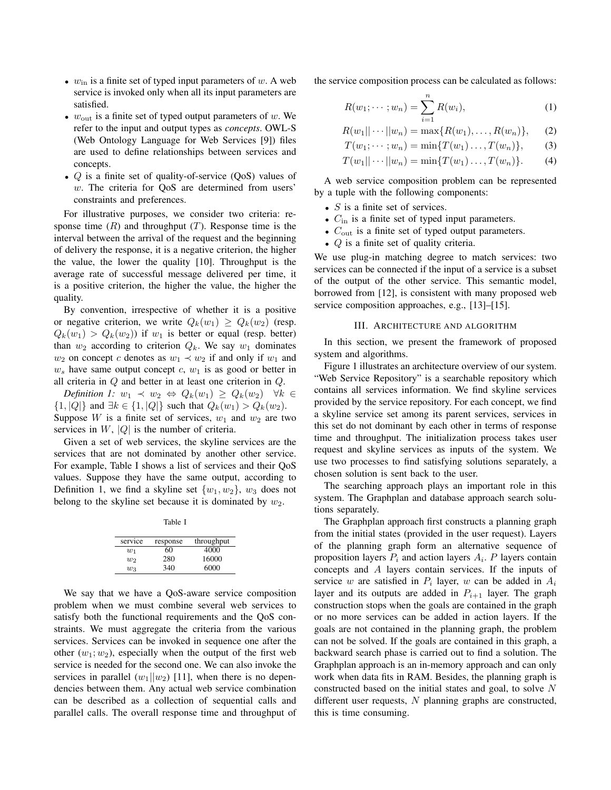- $w_{\text{in}}$  is a finite set of typed input parameters of w. A web service is invoked only when all its input parameters are satisfied.
- $w_{\text{out}}$  is a finite set of typed output parameters of w. We refer to the input and output types as *concepts*. OWL-S (Web Ontology Language for Web Services [9]) files are used to define relationships between services and concepts.
- $Q$  is a finite set of quality-of-service  $(QoS)$  values of w. The criteria for QoS are determined from users' constraints and preferences.

For illustrative purposes, we consider two criteria: response time  $(R)$  and throughput  $(T)$ . Response time is the interval between the arrival of the request and the beginning of delivery the response, it is a negative criterion, the higher the value, the lower the quality [10]. Throughput is the average rate of successful message delivered per time, it is a positive criterion, the higher the value, the higher the quality.

By convention, irrespective of whether it is a positive or negative criterion, we write  $Q_k(w_1) \geq Q_k(w_2)$  (resp.  $Q_k(w_1) > Q_k(w_2)$  if  $w_1$  is better or equal (resp. better) than  $w_2$  according to criterion  $Q_k$ . We say  $w_1$  dominates  $w_2$  on concept c denotes as  $w_1 \prec w_2$  if and only if  $w_1$  and  $w<sub>s</sub>$  have same output concept c,  $w<sub>1</sub>$  is as good or better in all criteria in Q and better in at least one criterion in Q.

*Definition 1:*  $w_1 \prec w_2 \Leftrightarrow Q_k(w_1) \geq Q_k(w_2) \quad \forall k \in$  $\{1, |Q|\}$  and  $\exists k \in \{1, |Q|\}$  such that  $Q_k(w_1) > Q_k(w_2)$ . Suppose W is a finite set of services,  $w_1$  and  $w_2$  are two services in  $W$ ,  $|Q|$  is the number of criteria.

Given a set of web services, the skyline services are the services that are not dominated by another other service. For example, Table I shows a list of services and their QoS values. Suppose they have the same output, according to Definition 1, we find a skyline set  $\{w_1, w_2\}$ ,  $w_3$  does not belong to the skyline set because it is dominated by  $w_2$ .

Table I

| service | response | throughput |
|---------|----------|------------|
| $w_1$   | 60       | 4000       |
| $w_2$   | 280      | 16000      |
| $w_3$   | 340      | 6000       |

We say that we have a QoS-aware service composition problem when we must combine several web services to satisfy both the functional requirements and the QoS constraints. We must aggregate the criteria from the various services. Services can be invoked in sequence one after the other  $(w_1; w_2)$ , especially when the output of the first web service is needed for the second one. We can also invoke the services in parallel  $(w_1||w_2)$  [11], when there is no dependencies between them. Any actual web service combination can be described as a collection of sequential calls and parallel calls. The overall response time and throughput of the service composition process can be calculated as follows:

$$
R(w_1; \dots; w_n) = \sum_{i=1}^n R(w_i),
$$
 (1)

$$
R(w_1||\cdots||w_n) = \max\{R(w_1),\ldots,R(w_n)\},\qquad(2)
$$

$$
T(w_1; \dots; w_n) = \min\{T(w_1) \dots, T(w_n)\},\tag{3}
$$

$$
T(w_1||\cdots||w_n) = \min\{T(w_1)\ldots,T(w_n)\}.
$$
 (4)

A web service composition problem can be represented by a tuple with the following components:

- $S$  is a finite set of services.
- $\bullet$   $C_{\text{in}}$  is a finite set of typed input parameters.
- $C_{\text{out}}$  is a finite set of typed output parameters.
- $Q$  is a finite set of quality criteria.

We use plug-in matching degree to match services: two services can be connected if the input of a service is a subset of the output of the other service. This semantic model, borrowed from [12], is consistent with many proposed web service composition approaches, e.g., [13]–[15].

#### III. ARCHITECTURE AND ALGORITHM

In this section, we present the framework of proposed system and algorithms.

Figure 1 illustrates an architecture overview of our system. "Web Service Repository" is a searchable repository which contains all services information. We find skyline services provided by the service repository. For each concept, we find a skyline service set among its parent services, services in this set do not dominant by each other in terms of response time and throughput. The initialization process takes user request and skyline services as inputs of the system. We use two processes to find satisfying solutions separately, a chosen solution is sent back to the user.

The searching approach plays an important role in this system. The Graphplan and database approach search solutions separately.

The Graphplan approach first constructs a planning graph from the initial states (provided in the user request). Layers of the planning graph form an alternative sequence of proposition layers  $P_i$  and action layers  $A_i$ . P layers contain concepts and A layers contain services. If the inputs of service w are satisfied in  $P_i$  layer, w can be added in  $A_i$ layer and its outputs are added in  $P_{i+1}$  layer. The graph construction stops when the goals are contained in the graph or no more services can be added in action layers. If the goals are not contained in the planning graph, the problem can not be solved. If the goals are contained in this graph, a backward search phase is carried out to find a solution. The Graphplan approach is an in-memory approach and can only work when data fits in RAM. Besides, the planning graph is constructed based on the initial states and goal, to solve N different user requests,  $N$  planning graphs are constructed, this is time consuming.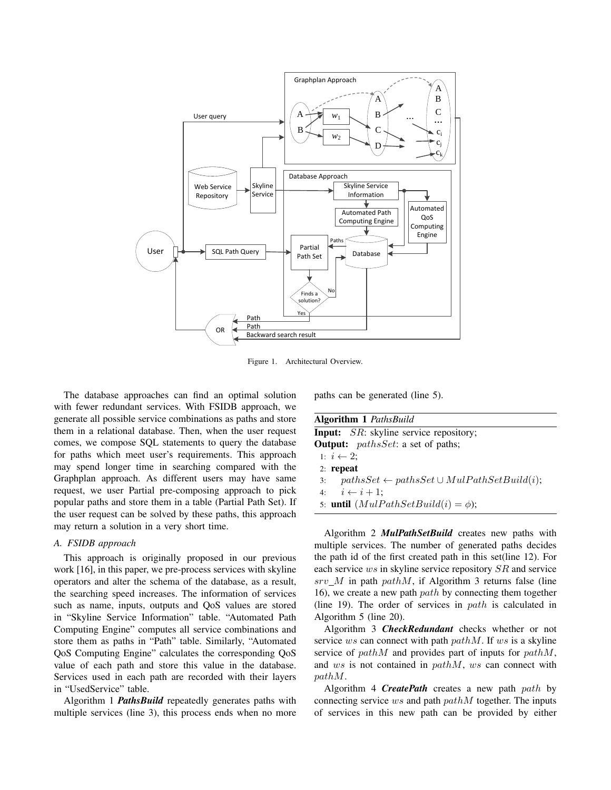

Figure 1. Architectural Overview.

The database approaches can find an optimal solution with fewer redundant services. With FSIDB approach, we generate all possible service combinations as paths and store them in a relational database. Then, when the user request comes, we compose SQL statements to query the database for paths which meet user's requirements. This approach may spend longer time in searching compared with the Graphplan approach. As different users may have same request, we user Partial pre-composing approach to pick popular paths and store them in a table (Partial Path Set). If the user request can be solved by these paths, this approach may return a solution in a very short time.

# *A. FSIDB approach*

This approach is originally proposed in our previous work [16], in this paper, we pre-process services with skyline operators and alter the schema of the database, as a result, the searching speed increases. The information of services such as name, inputs, outputs and QoS values are stored in "Skyline Service Information" table. "Automated Path Computing Engine" computes all service combinations and store them as paths in "Path" table. Similarly, "Automated QoS Computing Engine" calculates the corresponding QoS value of each path and store this value in the database. Services used in each path are recorded with their layers in "UsedService" table.

Algorithm 1 *PathsBuild* repeatedly generates paths with multiple services (line 3), this process ends when no more paths can be generated (line 5).

| <b>Algorithm 1</b> PathsBuild                              |  |
|------------------------------------------------------------|--|
| <b>Input:</b> $SR$ : skyline service repository;           |  |
| <b>Output:</b> <i>pathsSet</i> : a set of paths;           |  |
| 1: $i \leftarrow 2$ ;                                      |  |
| $2:$ repeat                                                |  |
| 3: $pathsSet \leftarrow pathsSet \cup MulPathSetBuild(i);$ |  |
| 4: $i \leftarrow i+1$ ;                                    |  |
| 5: <b>until</b> $(MulPathSetBuild(i) = \phi)$ ;            |  |

Algorithm 2 *MulPathSetBuild* creates new paths with multiple services. The number of generated paths decides the path id of the first created path in this set(line 12). For each service ws in skyline service repository SR and service  $srv$ <sub>M</sub> in path pathM, if Algorithm 3 returns false (line 16), we create a new path  $path$  by connecting them together (line 19). The order of services in path is calculated in Algorithm 5 (line 20).

Algorithm 3 *CheckRedundant* checks whether or not service  $ws$  can connect with path  $pathM$ . If  $ws$  is a skyline service of *pathM* and provides part of inputs for *pathM*, and ws is not contained in pathM, ws can connect with pathM.

Algorithm 4 *CreatePath* creates a new path path by connecting service  $ws$  and path  $pathM$  together. The inputs of services in this new path can be provided by either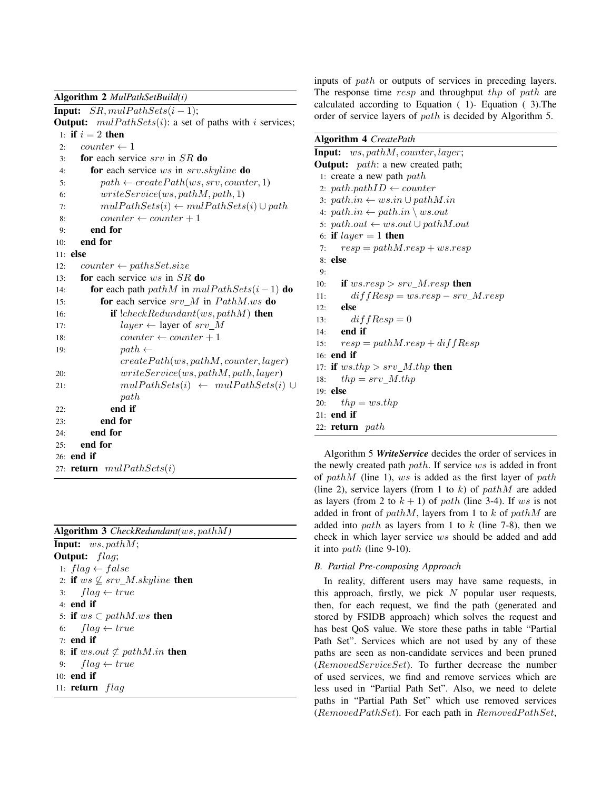Algorithm 2 *MulPathSetBuild(i)*

**Input:**  $SR$ ,  $mulPathSets(i-1)$ ; **Output:**  $multBets(i):$  a set of paths with i services; 1: if  $i = 2$  then 2: counter  $\leftarrow$  1 3: for each service  $srv$  in  $SR$  do 4: **for** each service ws in srv.skyline **do** 5:  $path \leftarrow createPath(ws, srv, counter, 1)$ 6: writeService(ws, pathM, path, 1) 7:  $mulPathSets(i) \leftarrow mulPathSets(i) \cup path$ 8: counter  $\leftarrow$  counter  $+1$ 9: end for 10: end for 11: else 12: counter  $\leftarrow$  pathsSet.size 13: for each service  $ws$  in  $SR$  do 14: **for** each path pathM in  $multPathsets(i - 1)$  do 15: **for** each service  $srv$  *M* in  $PathM.ws$  **do** 16: **if**  $!checkRedundant(ws, pathM)$  then 17:  $layer \leftarrow layer \space of \space srv \space M$ 18:  $counter \leftarrow counter + 1$ 19:  $path \leftarrow$  $createPath(ws, pathM, counter, layer)$ 20: writeService(ws, pathM, path, layer) 21:  $mulPathSets(i) \leftarrow mulPathSets(i) \cup$ path  $22:$  end if 23: end for 24: end for 25: end for 26: end if 27: return  $mulPathSets(i)$ 

Algorithm 3 *CheckRedundant(*ws, pathM*)*

Input: ws, pathM; Output: flag; 1:  $flag \leftarrow false$ 2: if  $ws \nsubseteq srv\_M.skyline$  then 3:  $flag \leftarrow true$ 4: end if 5: if  $ws \subset pathM.ws$  then 6:  $flag \leftarrow true$ 7: end if 8: if  $ws.out \not\subset pathM.in$  then 9:  $flag \leftarrow true$ 10: end if 11: return flag

inputs of path or outputs of services in preceding layers. The response time  $resp$  and throughput thp of path are calculated according to Equation ( 1)- Equation ( 3).The order of service layers of path is decided by Algorithm 5.

| <b>Algorithm 4</b> CreatePath                    |
|--------------------------------------------------|
| <b>Input:</b> ws, pathM, counter, layer;         |
| <b>Output:</b> $path:$ a new created path;       |
| 1: create a new path $path$                      |
| 2: $pathID \leftarrow counter$                   |
| 3: $path.in \leftarrow ws.in \cup pathM.in$      |
| 4: $path.in \leftarrow path.in \setminus ws.out$ |
| 5: $path.out \leftarrow ws.out \cup pathM.out$   |
| 6: if $layer = 1$ then                           |
| $resp = pathMresp + wsresp$<br>7:                |
| 8: <b>else</b>                                   |
| 9:                                               |
| if $ws.resp > srv_M.resp$ then<br>10:            |
| $diffResp = wsresp - srv_Mresp$<br>11:           |
| else<br>12:                                      |
| $diffResp = 0$<br>13:                            |
| end if<br>14:                                    |
| $resp = pathMresp + diffResp$<br>15:             |
| $16:$ end if                                     |
| 17: if $ws.thp > srv$ M.thp then                 |
| $thp = srv$ M.thp<br>18:                         |
| $19:$ else                                       |
| $thp = ws.thp$<br>20:                            |
| $21:$ end if                                     |
| 22: $return$ $path$                              |

Algorithm 5 *WriteService* decides the order of services in the newly created path path. If service ws is added in front of pathM (line 1), ws is added as the first layer of path (line 2), service layers (from 1 to  $k$ ) of pathM are added as layers (from 2 to  $k + 1$ ) of path (line 3-4). If ws is not added in front of pathM, layers from 1 to k of pathM are added into path as layers from 1 to  $k$  (line 7-8), then we check in which layer service ws should be added and add it into path (line 9-10).

# *B. Partial Pre-composing Approach*

In reality, different users may have same requests, in this approach, firstly, we pick  $N$  popular user requests, then, for each request, we find the path (generated and stored by FSIDB approach) which solves the request and has best QoS value. We store these paths in table "Partial Path Set". Services which are not used by any of these paths are seen as non-candidate services and been pruned (RemovedServiceSet). To further decrease the number of used services, we find and remove services which are less used in "Partial Path Set". Also, we need to delete paths in "Partial Path Set" which use removed services  $(RemovedPathSet)$ . For each path in  $RemovedPathSet$ ,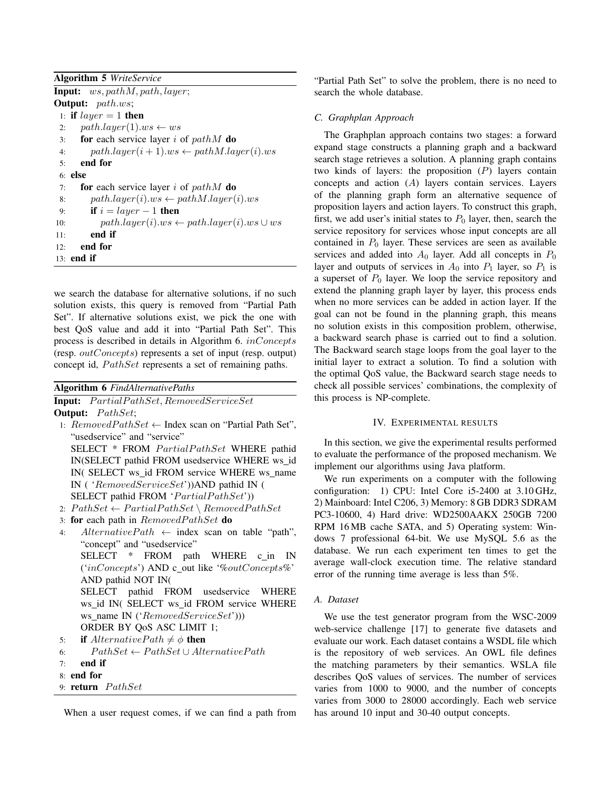|  |  | <b>Algorithm 5</b> WriteService |
|--|--|---------------------------------|
|--|--|---------------------------------|

|     | <b>Input:</b> $ws, pathM, path, layer;$                |
|-----|--------------------------------------------------------|
|     | <b>Output:</b> $path.ws$ ;                             |
|     | 1: if $layer = 1$ then                                 |
| 2:  | $path-layer(1).ws \leftarrow ws$                       |
| 3:  | for each service layer i of $pathM$ do                 |
| 4:  | $path layer(i + 1).ws \leftarrow pathM layer(i).ws$    |
| 5:  | end for                                                |
|     | $6:$ else                                              |
| 7:  | <b>for</b> each service layer i of $pathM$ <b>do</b>   |
| 8:  | $path layer(i).ws \leftarrow pathM-layer(i).ws$        |
| 9:  | <b>if</b> $i = layer - 1$ then                         |
| 10: | $path layer(i).ws \leftarrow path-layer(i).ws \cup ws$ |
| 11: | end if                                                 |
| 12: | end for                                                |
|     | $13:$ end if                                           |

we search the database for alternative solutions, if no such solution exists, this query is removed from "Partial Path Set". If alternative solutions exist, we pick the one with best QoS value and add it into "Partial Path Set". This process is described in details in Algorithm 6. inConcepts (resp. outConcepts) represents a set of input (resp. output) concept id, *PathSet* represents a set of remaining paths.

```
Algorithm 6 FindAlternativePaths
```
Input: PartialPathSet, RemovedServiceSet Output: PathSet;

```
1: RemovedPathSet \leftarrow Index scan on "Partial Path Set","usedservice" and "service"
  SELECT * FROM PartialPathSet WHERE pathid
  IN(SELECT pathid FROM usedservice WHERE ws id
  IN( SELECT ws_id FROM service WHERE ws_name
  IN ( 'RemovedServiceSet'))AND pathid IN (
  SELECT pathid FROM 'PartialPathSet'))
2: PathSet \leftarrow PartialPathSet \setminus RemovedPathSet
```
- 
- 3: for each path in  $RemovedPathSet$  do
- 4: AlternativePath  $\leftarrow$  index scan on table "path", "concept" and "usedservice" SELECT \* FROM path WHERE c\_in IN  $(inConcepts')$  AND c\_out like ' $\%outConcepts\%$ ' AND pathid NOT IN( SELECT pathid FROM usedservice WHERE ws id IN( SELECT ws id FROM service WHERE ws name IN ('RemovedServiceSet'))) ORDER BY QoS ASC LIMIT 1;
- 5: if  $AlternatePath \neq \phi$  then
- 6:  $PathSet \leftarrow PathSet \cup AlternativePath$
- 7: end if
- 8: end for
- 9: return PathSet

When a user request comes, if we can find a path from

"Partial Path Set" to solve the problem, there is no need to search the whole database.

#### *C. Graphplan Approach*

The Graphplan approach contains two stages: a forward expand stage constructs a planning graph and a backward search stage retrieves a solution. A planning graph contains two kinds of layers: the proposition  $(P)$  layers contain concepts and action (A) layers contain services. Layers of the planning graph form an alternative sequence of proposition layers and action layers. To construct this graph, first, we add user's initial states to  $P_0$  layer, then, search the service repository for services whose input concepts are all contained in  $P_0$  layer. These services are seen as available services and added into  $A_0$  layer. Add all concepts in  $P_0$ layer and outputs of services in  $A_0$  into  $P_1$  layer, so  $P_1$  is a superset of  $P_0$  layer. We loop the service repository and extend the planning graph layer by layer, this process ends when no more services can be added in action layer. If the goal can not be found in the planning graph, this means no solution exists in this composition problem, otherwise, a backward search phase is carried out to find a solution. The Backward search stage loops from the goal layer to the initial layer to extract a solution. To find a solution with the optimal QoS value, the Backward search stage needs to check all possible services' combinations, the complexity of this process is NP-complete.

# IV. EXPERIMENTAL RESULTS

In this section, we give the experimental results performed to evaluate the performance of the proposed mechanism. We implement our algorithms using Java platform.

We run experiments on a computer with the following configuration: 1) CPU: Intel Core i5-2400 at 3.10 GHz, 2) Mainboard: Intel C206, 3) Memory: 8 GB DDR3 SDRAM PC3-10600, 4) Hard drive: WD2500AAKX 250GB 7200 RPM 16 MB cache SATA, and 5) Operating system: Windows 7 professional 64-bit. We use MySQL 5.6 as the database. We run each experiment ten times to get the average wall-clock execution time. The relative standard error of the running time average is less than 5%.

### *A. Dataset*

We use the test generator program from the WSC-2009 web-service challenge [17] to generate five datasets and evaluate our work. Each dataset contains a WSDL file which is the repository of web services. An OWL file defines the matching parameters by their semantics. WSLA file describes QoS values of services. The number of services varies from 1000 to 9000, and the number of concepts varies from 3000 to 28000 accordingly. Each web service has around 10 input and 30-40 output concepts.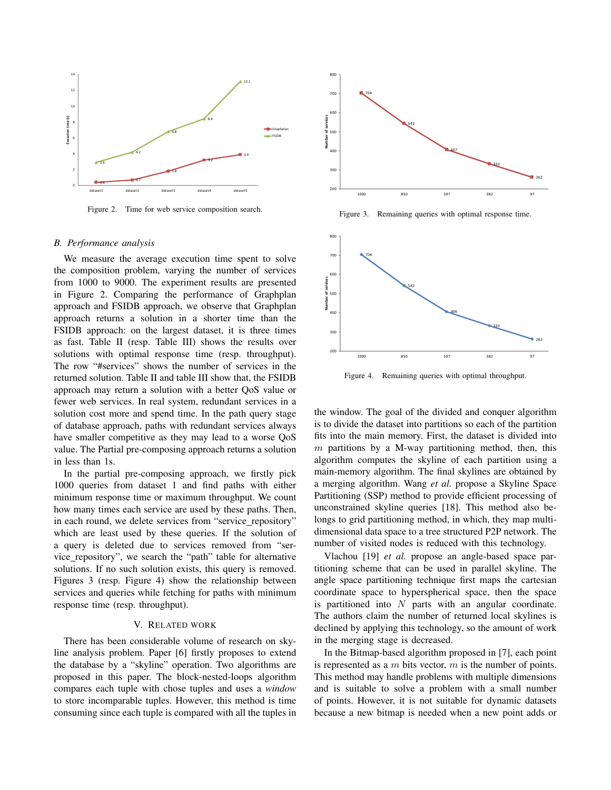

Figure 2. Time for web service composition search.

#### *B. Performance analysis*

We measure the average execution time spent to solve the composition problem, varying the number of services from 1000 to 9000. The experiment results are presented in Figure 2. Comparing the performance of Graphplan approach and FSIDB approach, we observe that Graphplan approach returns a solution in a shorter time than the FSIDB approach: on the largest dataset, it is three times as fast. Table II (resp. Table III) shows the results over solutions with optimal response time (resp. throughput). The row "#services" shows the number of services in the returned solution. Table II and table III show that, the FSIDB approach may return a solution with a better QoS value or fewer web services. In real system, redundant services in a solution cost more and spend time. In the path query stage of database approach, paths with redundant services always have smaller competitive as they may lead to a worse QoS value. The Partial pre-composing approach returns a solution in less than 1s.

In the partial pre-composing approach, we firstly pick 1000 queries from dataset 1 and find paths with either minimum response time or maximum throughput. We count how many times each service are used by these paths. Then, in each round, we delete services from "service repository" which are least used by these queries. If the solution of a query is deleted due to services removed from "service\_repository", we search the "path" table for alternative solutions. If no such solution exists, this query is removed. Figures 3 (resp. Figure 4) show the relationship between services and queries while fetching for paths with minimum response time (resp. throughput).

### V. RELATED WORK

There has been considerable volume of research on skyline analysis problem. Paper [6] firstly proposes to extend the database by a "skyline" operation. Two algorithms are proposed in this paper. The block-nested-loops algorithm compares each tuple with chose tuples and uses a *window* to store incomparable tuples. However, this method is time consuming since each tuple is compared with all the tuples in



Figure 3. Remaining queries with optimal response time.



Figure 4. Remaining queries with optimal throughput.

the window. The goal of the divided and conquer algorithm is to divide the dataset into partitions so each of the partition fits into the main memory. First, the dataset is divided into  $m$  partitions by a M-way partitioning method, then, this algorithm computes the skyline of each partition using a main-memory algorithm. The final skylines are obtained by a merging algorithm. Wang *et al.* propose a Skyline Space Partitioning (SSP) method to provide efficient processing of unconstrained skyline queries [18]. This method also belongs to grid partitioning method, in which, they map multidimensional data space to a tree structured P2P network. The number of visited nodes is reduced with this technology.

Vlachou [19] *et al.* propose an angle-based space partitioning scheme that can be used in parallel skyline. The angle space partitioning technique first maps the cartesian coordinate space to hyperspherical space, then the space is partitioned into  $N$  parts with an angular coordinate. The authors claim the number of returned local skylines is declined by applying this technology, so the amount of work in the merging stage is decreased.

In the Bitmap-based algorithm proposed in [7], each point is represented as a  $m$  bits vector,  $m$  is the number of points. This method may handle problems with multiple dimensions and is suitable to solve a problem with a small number of points. However, it is not suitable for dynamic datasets because a new bitmap is needed when a new point adds or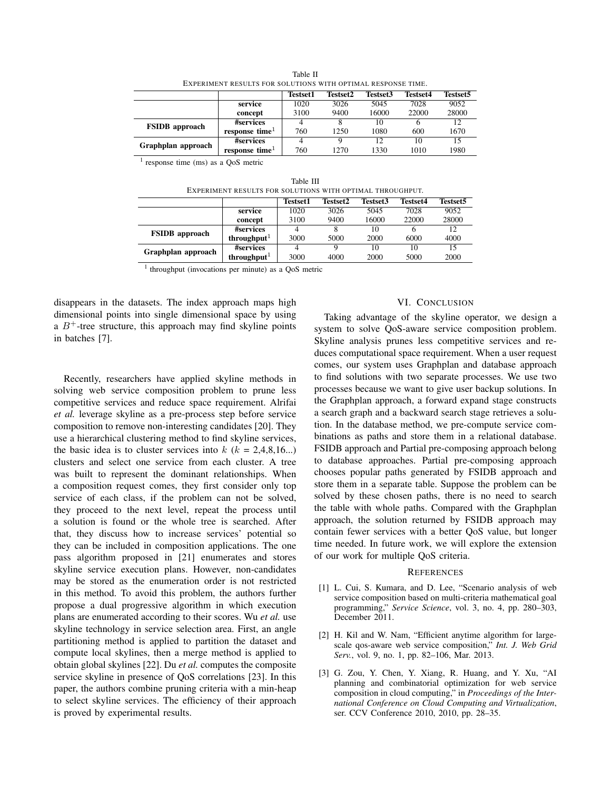| LALENDIRI NESULIS FURSION SULUNS WITH ULTIMAL NESI UNSETIME. |                                         |                 |          |          |          |                 |  |
|--------------------------------------------------------------|-----------------------------------------|-----------------|----------|----------|----------|-----------------|--|
|                                                              |                                         | <b>Testset1</b> | Testset2 | Testset3 | Testset4 | <b>Testset5</b> |  |
|                                                              | service                                 | 1020            | 3026     | 5045     | 7028     | 9052            |  |
|                                                              | concept                                 | 3100            | 9400     | 16000    | 22000    | 28000           |  |
| <b>FSIDB</b> approach                                        | #services                               |                 |          | 10       |          | 12              |  |
|                                                              | response time <sup><math>1</math></sup> | 760             | 1250     | 1080     | 600      | 1670            |  |
|                                                              | #services                               |                 |          | 12       | 10       |                 |  |
| Graphplan approach                                           | response time $\pm$                     | 760             | 1270     | 1330     | 1010     | 1980            |  |

Table II EXPERIMENT RESULTS FOR SOLUTIONS WITH OPTIMAL RESPONSE TIME.

1 response time (ms) as a QoS metric

Table III EXPERIMENT RESULTS FOR SOLUTIONS WITH OPTIMAL THROUGHPUT.

|                       |                         | <b>Testset1</b> | Testset2 | <b>Testset3</b> | <b>Testset4</b> | <b>Testset5</b> |
|-----------------------|-------------------------|-----------------|----------|-----------------|-----------------|-----------------|
|                       | service                 | 1020            | 3026     | 5045            | 7028            | 9052            |
|                       | concept                 | 3100            | 9400     | 16000           | 22000           | 28000           |
| <b>FSIDB</b> approach | #services               | 4               |          | 10              |                 | 12              |
|                       | throughput              | 3000            | 5000     | 2000            | 6000            | 4000            |
| Graphplan approach    | #services               | 4               | Q        | 10              | 10              |                 |
|                       | throughput <sup>1</sup> | 3000            | 4000     | 2000            | 5000            | 2000            |

<sup>1</sup> throughput (invocations per minute) as a QoS metric

disappears in the datasets. The index approach maps high dimensional points into single dimensional space by using a  $B^+$ -tree structure, this approach may find skyline points in batches [7].

Recently, researchers have applied skyline methods in solving web service composition problem to prune less competitive services and reduce space requirement. Alrifai *et al.* leverage skyline as a pre-process step before service composition to remove non-interesting candidates [20]. They use a hierarchical clustering method to find skyline services, the basic idea is to cluster services into  $k$  ( $k = 2,4,8,16...$ ) clusters and select one service from each cluster. A tree was built to represent the dominant relationships. When a composition request comes, they first consider only top service of each class, if the problem can not be solved, they proceed to the next level, repeat the process until a solution is found or the whole tree is searched. After that, they discuss how to increase services' potential so they can be included in composition applications. The one pass algorithm proposed in [21] enumerates and stores skyline service execution plans. However, non-candidates may be stored as the enumeration order is not restricted in this method. To avoid this problem, the authors further propose a dual progressive algorithm in which execution plans are enumerated according to their scores. Wu *et al.* use skyline technology in service selection area. First, an angle partitioning method is applied to partition the dataset and compute local skylines, then a merge method is applied to obtain global skylines [22]. Du *et al.* computes the composite service skyline in presence of QoS correlations [23]. In this paper, the authors combine pruning criteria with a min-heap to select skyline services. The efficiency of their approach is proved by experimental results.

### VI. CONCLUSION

Taking advantage of the skyline operator, we design a system to solve QoS-aware service composition problem. Skyline analysis prunes less competitive services and reduces computational space requirement. When a user request comes, our system uses Graphplan and database approach to find solutions with two separate processes. We use two processes because we want to give user backup solutions. In the Graphplan approach, a forward expand stage constructs a search graph and a backward search stage retrieves a solution. In the database method, we pre-compute service combinations as paths and store them in a relational database. FSIDB approach and Partial pre-composing approach belong to database approaches. Partial pre-composing approach chooses popular paths generated by FSIDB approach and store them in a separate table. Suppose the problem can be solved by these chosen paths, there is no need to search the table with whole paths. Compared with the Graphplan approach, the solution returned by FSIDB approach may contain fewer services with a better QoS value, but longer time needed. In future work, we will explore the extension of our work for multiple QoS criteria.

#### **REFERENCES**

- [1] L. Cui, S. Kumara, and D. Lee, "Scenario analysis of web service composition based on multi-criteria mathematical goal programming," *Service Science*, vol. 3, no. 4, pp. 280–303, December 2011.
- [2] H. Kil and W. Nam, "Efficient anytime algorithm for largescale qos-aware web service composition," *Int. J. Web Grid Serv.*, vol. 9, no. 1, pp. 82–106, Mar. 2013.
- [3] G. Zou, Y. Chen, Y. Xiang, R. Huang, and Y. Xu, "AI planning and combinatorial optimization for web service composition in cloud computing," in *Proceedings of the International Conference on Cloud Computing and Virtualization*, ser. CCV Conference 2010, 2010, pp. 28–35.